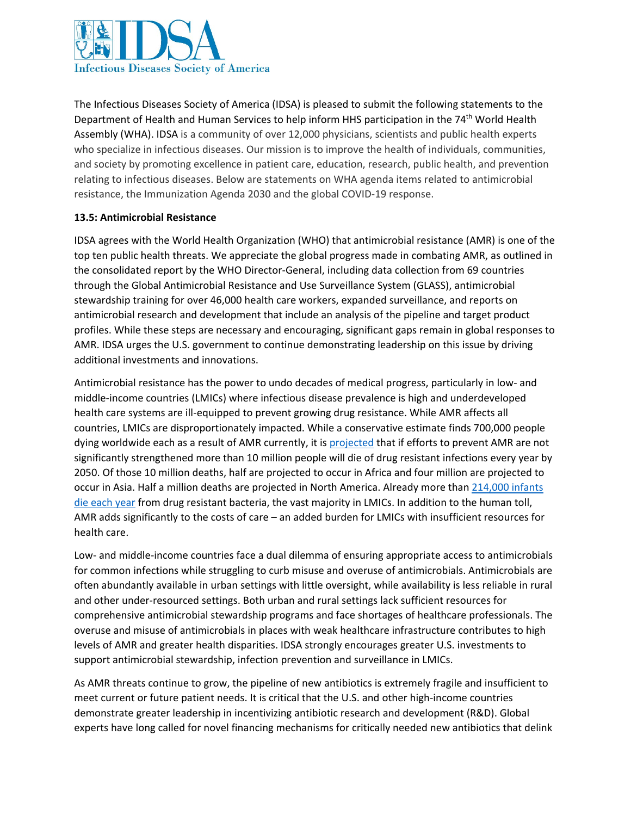

The Infectious Diseases Society of America (IDSA) is pleased to submit the following statements to the Department of Health and Human Services to help inform HHS participation in the 74<sup>th</sup> World Health Assembly (WHA). IDSA is a community of over 12,000 physicians, scientists and public health experts who specialize in infectious diseases. Our mission is to improve the health of individuals, communities, and society by promoting excellence in patient care, education, research, public health, and prevention relating to infectious diseases. Below are statements on WHA agenda items related to antimicrobial resistance, the Immunization Agenda 2030 and the global COVID-19 response.

## **13.5: Antimicrobial Resistance**

IDSA agrees with the World Health Organization (WHO) that antimicrobial resistance (AMR) is one of the top ten public health threats. We appreciate the global progress made in combating AMR, as outlined in the consolidated report by the WHO Director-General, including data collection from 69 countries through the Global Antimicrobial Resistance and Use Surveillance System (GLASS), antimicrobial stewardship training for over 46,000 health care workers, expanded surveillance, and reports on antimicrobial research and development that include an analysis of the pipeline and target product profiles. While these steps are necessary and encouraging, significant gaps remain in global responses to AMR. IDSA urges the U.S. government to continue demonstrating leadership on this issue by driving additional investments and innovations.

Antimicrobial resistance has the power to undo decades of medical progress, particularly in low- and middle-income countries (LMICs) where infectious disease prevalence is high and underdeveloped health care systems are ill-equipped to prevent growing drug resistance. While AMR affects all countries, LMICs are disproportionately impacted. While a conservative estimate finds 700,000 people dying worldwide each as a result of AMR currently, it is [projected](https://amr-review.org/sites/default/files/160518_Final%20paper_with%20cover.pdf) that if efforts to prevent AMR are not significantly strengthened more than 10 million people will die of drug resistant infections every year by 2050. Of those 10 million deaths, half are projected to occur in Africa and four million are projected to occur in Asia. Half a million deaths are projected in North America. Already more than [214,000 infants](https://www.thelancet.com/journals/lancet/article/PIIS0140-6736(15)00474-2/fulltexthttps:/www.thelancet.com/journals/lancet/article/PIIS0140-6736(15)00474-2/fulltext)  [die each year](https://www.thelancet.com/journals/lancet/article/PIIS0140-6736(15)00474-2/fulltexthttps:/www.thelancet.com/journals/lancet/article/PIIS0140-6736(15)00474-2/fulltext) from drug resistant bacteria, the vast majority in LMICs. In addition to the human toll, AMR adds significantly to the costs of care – an added burden for LMICs with insufficient resources for health care.

Low- and middle-income countries face a dual dilemma of ensuring appropriate access to antimicrobials for common infections while struggling to curb misuse and overuse of antimicrobials. Antimicrobials are often abundantly available in urban settings with little oversight, while availability is less reliable in rural and other under-resourced settings. Both urban and rural settings lack sufficient resources for comprehensive antimicrobial stewardship programs and face shortages of healthcare professionals. The overuse and misuse of antimicrobials in places with weak healthcare infrastructure contributes to high levels of AMR and greater health disparities. IDSA strongly encourages greater U.S. investments to support antimicrobial stewardship, infection prevention and surveillance in LMICs.

As AMR threats continue to grow, the pipeline of new antibiotics is extremely fragile and insufficient to meet current or future patient needs. It is critical that the U.S. and other high-income countries demonstrate greater leadership in incentivizing antibiotic research and development (R&D). Global experts have long called for novel financing mechanisms for critically needed new antibiotics that delink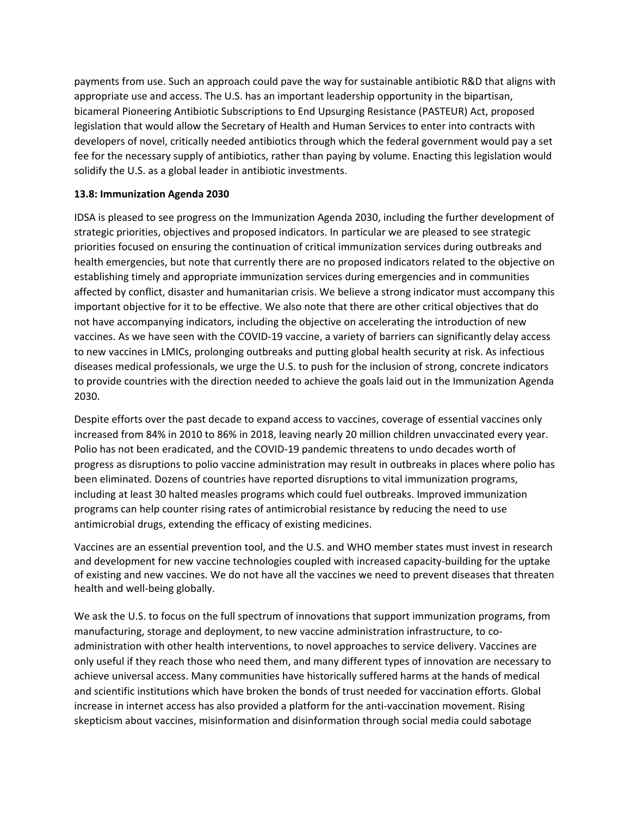payments from use. Such an approach could pave the way for sustainable antibiotic R&D that aligns with appropriate use and access. The U.S. has an important leadership opportunity in the bipartisan, bicameral Pioneering Antibiotic Subscriptions to End Upsurging Resistance (PASTEUR) Act, proposed legislation that would allow the Secretary of Health and Human Services to enter into contracts with developers of novel, critically needed antibiotics through which the federal government would pay a set fee for the necessary supply of antibiotics, rather than paying by volume. Enacting this legislation would solidify the U.S. as a global leader in antibiotic investments.

## **13.8: Immunization Agenda 2030**

IDSA is pleased to see progress on the Immunization Agenda 2030, including the further development of strategic priorities, objectives and proposed indicators. In particular we are pleased to see strategic priorities focused on ensuring the continuation of critical immunization services during outbreaks and health emergencies, but note that currently there are no proposed indicators related to the objective on establishing timely and appropriate immunization services during emergencies and in communities affected by conflict, disaster and humanitarian crisis. We believe a strong indicator must accompany this important objective for it to be effective. We also note that there are other critical objectives that do not have accompanying indicators, including the objective on accelerating the introduction of new vaccines. As we have seen with the COVID-19 vaccine, a variety of barriers can significantly delay access to new vaccines in LMICs, prolonging outbreaks and putting global health security at risk. As infectious diseases medical professionals, we urge the U.S. to push for the inclusion of strong, concrete indicators to provide countries with the direction needed to achieve the goals laid out in the Immunization Agenda 2030.

Despite efforts over the past decade to expand access to vaccines, coverage of essential vaccines only increased from 84% in 2010 to 86% in 2018, leaving nearly 20 million children unvaccinated every year. Polio has not been eradicated, and the COVID-19 pandemic threatens to undo decades worth of progress as disruptions to polio vaccine administration may result in outbreaks in places where polio has been eliminated. Dozens of countries have reported disruptions to vital immunization programs, including at least 30 halted measles programs which could fuel outbreaks. Improved immunization programs can help counter rising rates of antimicrobial resistance by reducing the need to use antimicrobial drugs, extending the efficacy of existing medicines.

Vaccines are an essential prevention tool, and the U.S. and WHO member states must invest in research and development for new vaccine technologies coupled with increased capacity-building for the uptake of existing and new vaccines. We do not have all the vaccines we need to prevent diseases that threaten health and well-being globally.

We ask the U.S. to focus on the full spectrum of innovations that support immunization programs, from manufacturing, storage and deployment, to new vaccine administration infrastructure, to coadministration with other health interventions, to novel approaches to service delivery. Vaccines are only useful if they reach those who need them, and many different types of innovation are necessary to achieve universal access. Many communities have historically suffered harms at the hands of medical and scientific institutions which have broken the bonds of trust needed for vaccination efforts. Global increase in internet access has also provided a platform for the anti-vaccination movement. Rising skepticism about vaccines, misinformation and disinformation through social media could sabotage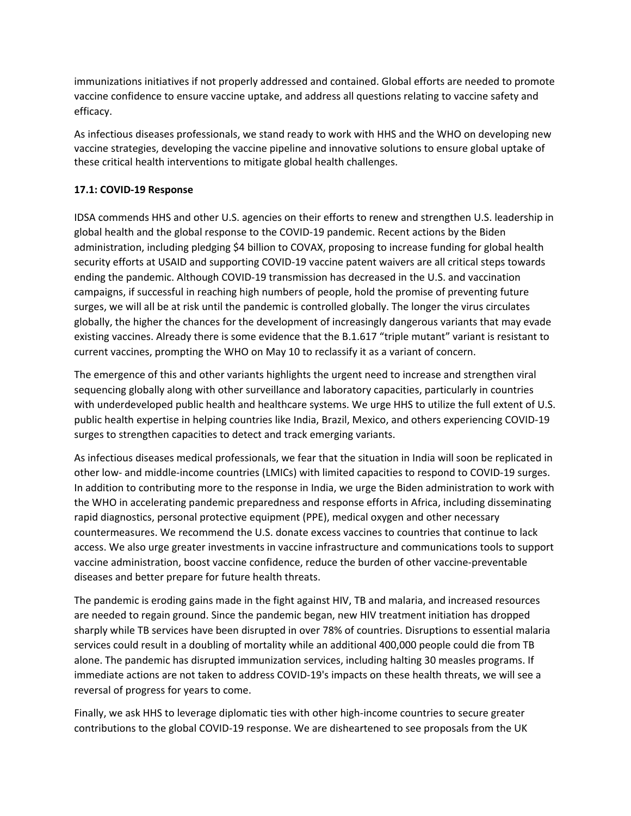immunizations initiatives if not properly addressed and contained. Global efforts are needed to promote vaccine confidence to ensure vaccine uptake, and address all questions relating to vaccine safety and efficacy.

As infectious diseases professionals, we stand ready to work with HHS and the WHO on developing new vaccine strategies, developing the vaccine pipeline and innovative solutions to ensure global uptake of these critical health interventions to mitigate global health challenges.

## **17.1: COVID-19 Response**

IDSA commends HHS and other U.S. agencies on their efforts to renew and strengthen U.S. leadership in global health and the global response to the COVID-19 pandemic. Recent actions by the Biden administration, including pledging \$4 billion to COVAX, proposing to increase funding for global health security efforts at USAID and supporting COVID-19 vaccine patent waivers are all critical steps towards ending the pandemic. Although COVID-19 transmission has decreased in the U.S. and vaccination campaigns, if successful in reaching high numbers of people, hold the promise of preventing future surges, we will all be at risk until the pandemic is controlled globally. The longer the virus circulates globally, the higher the chances for the development of increasingly dangerous variants that may evade existing vaccines. Already there is some evidence that the B.1.617 "triple mutant" variant is resistant to current vaccines, prompting the WHO on May 10 to reclassify it as a variant of concern.

The emergence of this and other variants highlights the urgent need to increase and strengthen viral sequencing globally along with other surveillance and laboratory capacities, particularly in countries with underdeveloped public health and healthcare systems. We urge HHS to utilize the full extent of U.S. public health expertise in helping countries like India, Brazil, Mexico, and others experiencing COVID-19 surges to strengthen capacities to detect and track emerging variants.

As infectious diseases medical professionals, we fear that the situation in India will soon be replicated in other low- and middle-income countries (LMICs) with limited capacities to respond to COVID-19 surges. In addition to contributing more to the response in India, we urge the Biden administration to work with the WHO in accelerating pandemic preparedness and response efforts in Africa, including disseminating rapid diagnostics, personal protective equipment (PPE), medical oxygen and other necessary countermeasures. We recommend the U.S. donate excess vaccines to countries that continue to lack access. We also urge greater investments in vaccine infrastructure and communications tools to support vaccine administration, boost vaccine confidence, reduce the burden of other vaccine-preventable diseases and better prepare for future health threats.

The pandemic is eroding gains made in the fight against HIV, TB and malaria, and increased resources are needed to regain ground. Since the pandemic began, new HIV treatment initiation has dropped sharply while TB services have been disrupted in over 78% of countries. Disruptions to essential malaria services could result in a doubling of mortality while an additional 400,000 people could die from TB alone. The pandemic has disrupted immunization services, including halting 30 measles programs. If immediate actions are not taken to address COVID-19's impacts on these health threats, we will see a reversal of progress for years to come.

Finally, we ask HHS to leverage diplomatic ties with other high-income countries to secure greater contributions to the global COVID-19 response. We are disheartened to see proposals from the UK